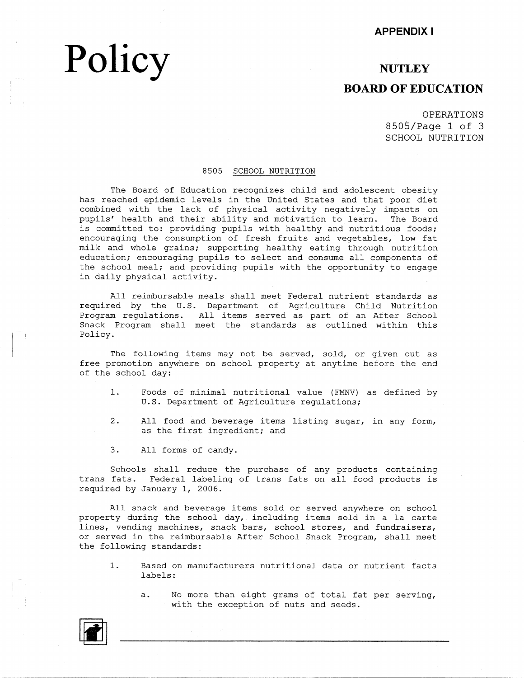# **Policy**

### **NUTLEY BOARD OF EDUCATION**

OPERATIONS 8505/Page 1 of 3 SCHOOL NUTRITION

#### 8505 SCHOOL NUTRITION

The Board of Education recognizes child and adolescent obesity has reached epidemic ievels in the United States and that poor diet combined with the lack of physical activity negatively impacts on pupils' health and their ability and motivation to. learn. The Board is committed to: providing pupils with healthy and nutritious foods; encouraging the consumption of fresh fruits and vegetables, low fat milk and whole grains; supporting healthy eating through nutrition education; encouraging pupils to select and consume all components of the school meal; and providing pupils with the opportunity to engage in daily physical activity.

All reimbursable meals shall meet Federal nutrient standards as required by the U.S. Department of Agriculture Child Nutrition Program regulations. All items served as part of an After School Snack Program shall meet the standards as outlined within this Policy.

The following items may not be served, sold, or given out as free promotion anywhere on school property at anytime before the end of the school day:

- 1. Foods of minimal nutritional value (FMNV) as defined by U.S. Department of Agriculture regulations;
- 2. All food and beverage items listing sugar, in any form, as the first ingredient; and
- 3. All forms of candy.

Schools shall reduce the purchase of any products containing trans fats. Federal labeling of trans fats on all food products is required by January 1, 2006.

All snack and beverage items sold or served anywhere on school property during the school day,. including items sold in a la carte lines, vending machines, snack bars, school stores, and fundraisers, or served in the reimbursable After School Snack Program, shall meet the following standards:

- 1. Based on manufacturers nutritional data or nutrient facts labels:
	- a. No more than eight grams of total fat per serving, with the exception of nuts and seeds.

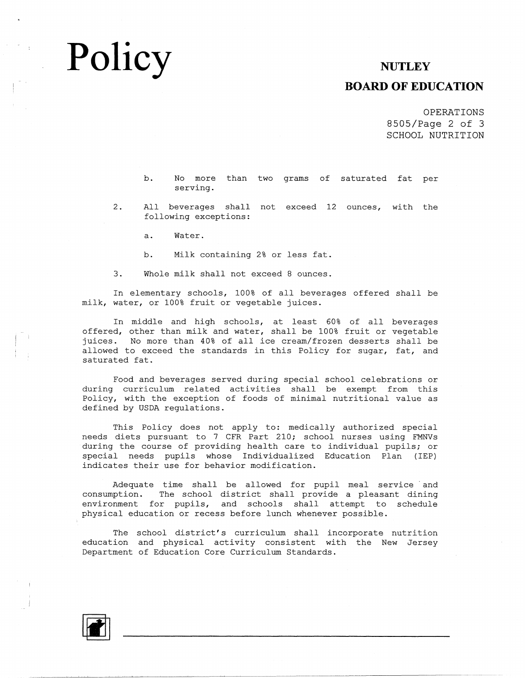## **Policy**

#### **NUTLEY**

#### **BOARD OF EDUCATION**

OPERATIONS 8505/Page 2 of 3 SCHOOL NUTRITION

b. No more than two grams of saturated fat pe: serving.

2. All beverages shall not exceed 12 ounces, with the following exceptions:

a. Water.

b. Milk containing 2% or less fat

3. Whole milk shall not exceed 8 ounces.

In elementary schools, 100% of all beverages offered shall be milk, water, or 100% fruit or vegetable juices.

In middle and high schools, at least 60% of all beverages offered, other than milk and water, shall be 100% fruit or vegetable juices. No more than 40% of all ice cream/frozen desserts shall be allowed to exceed the standards in this Policy for sugar, fat, and saturated fat.

Food and beverages served during special school celebrations or during curriculum related activities shall be exempt from this Policy, with the exception of foods of minimal nutritional value as defined by USDA regulations.

This Policy does not apply to: medically authorized special needs diets pursuant to 7 CFR Part 210; school nurses using FMNVs during the course of providing health care to individual pupils; or special needs pupils whose Individualized Education Plan (IEP) indicates their use for behavior modification.

Adequate time shall be allowed for pupil meal service and consumption. The school district shall provide a pleasant dining environment for pupils, and schools shall attempt to schedule physical education or recess before lunch whenever possible.

The school district's curriculum shall incorporate nutrition education and physical activity consistent with the New Jersey Department of Education Core Curriculum Standards.